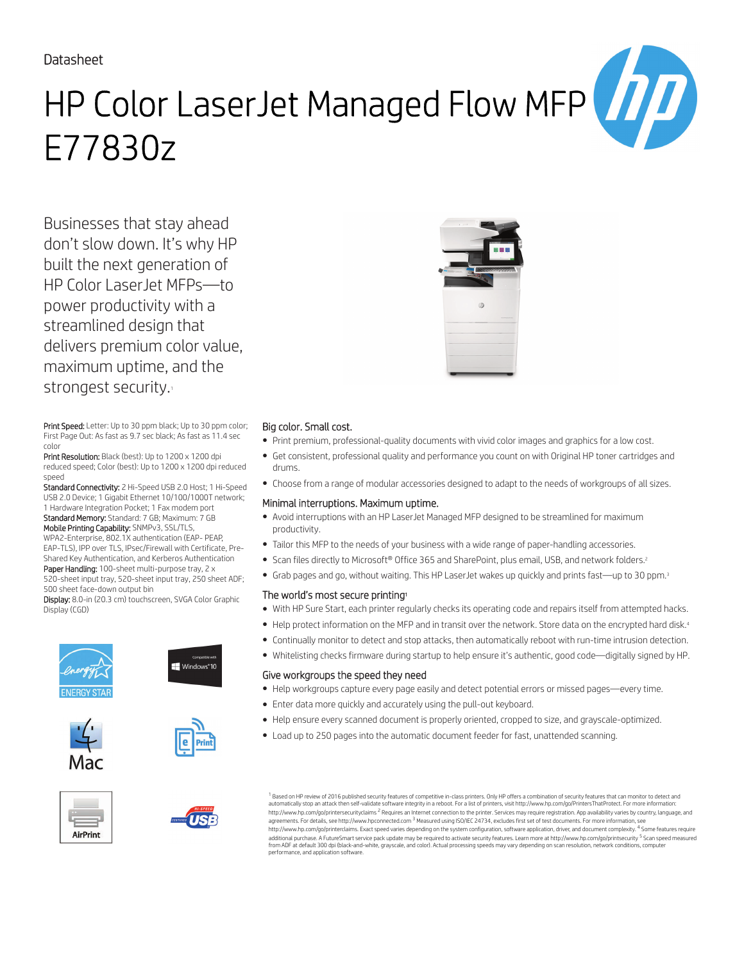# Datasheet

# HP Color LaserJet Managed Flow MFP E77830z

Businesses that stay ahead don't slow down. It's why HP built the next generation of HP Color LaserJet MFPs—to power productivity with a streamlined design that delivers premium color value, maximum uptime, and the strongest security.

Print Speed: Letter: Up to 30 ppm black; Up to 30 ppm color; First Page Out: As fast as 9.7 sec black; As fast as 11.4 sec color

Print Resolution: Black (best): Up to 1200 x 1200 dpi reduced speed; Color (best): Up to 1200 x 1200 dpi reduced speed

Standard Connectivity: 2 Hi-Speed USB 2.0 Host; 1 Hi-Speed USB 2.0 Device; 1 Gigabit Ethernet 10/100/1000T network; 1 Hardware Integration Pocket; 1 Fax modem port Standard Memory: Standard: 7 GB; Maximum: 7 GB

Mobile Printing Capability: SNMPv3, SSL/TLS, WPA2-Enterprise, 802.1X authentication (EAP- PEAP, EAP-TLS), IPP over TLS, IPsec/Firewall with Certificate, Pre-

Shared Key Authentication, and Kerberos Authentication Paper Handling: 100-sheet multi-purpose tray, 2 x

520-sheet input tray, 520-sheet input tray, 250 sheet ADF; 500 sheet face-down output bin

Display: 8.0-in (20.3 cm) touchscreen, SVGA Color Graphic Display (CGD)









Windows<sup>®</sup>10









## Big color. Small cost.

- Print premium, professional-quality documents with vivid color images and graphics for a low cost.
- Get consistent, professional quality and performance you count on with Original HP toner cartridges and drums.
- Choose from a range of modular accessories designed to adapt to the needs of workgroups of all sizes.

#### Minimal interruptions. Maximum uptime.

- Avoid interruptions with an HP LaserJet Managed MFP designed to be streamlined for maximum productivity.
- Tailor this MFP to the needs of your business with a wide range of paper-handling accessories.
- Scan files directly to Microsoft® Office 365 and SharePoint, plus email, USB, and network folders.<sup>2</sup>
- Grab pages and go, without waiting. This HP LaserJet wakes up quickly and prints fast—up to 30 ppm.<sup>3</sup>

## The world's most secure printing<sup>1</sup>

- With HP Sure Start, each printer regularly checks its operating code and repairs itself from attempted hacks.
- Help protect information on the MFP and in transit over the network. Store data on the encrypted hard disk.<sup>4</sup>
- Continually monitor to detect and stop attacks, then automatically reboot with run-time intrusion detection.
- Whitelisting checks firmware during startup to help ensure it's authentic, good code—digitally signed by HP.

## Give workgroups the speed they need

- Help workgroups capture every page easily and detect potential errors or missed pages—every time.
- Enter data more quickly and accurately using the pull-out keyboard.
- Help ensure every scanned document is properly oriented, cropped to size, and grayscale-optimized.
- Load up to 250 pages into the automatic document feeder for fast, unattended scanning.

 $^{\rm 1}$  Based on HP review of 2016 published security features of competitive in-class printers. Only HP offers a combination of security features that can monitor to detect and automatically stop an attack then self-validate software integrity in a reboot. For a list of printers, visit http://www.hp.com/go/PrintersThatProtect. For more information:<br>http://www.hp.com/go/printersecurityclaims <sup>2</sup> R agreements. For details, see http://www.hpconnected.com <sup>3</sup> Measured using ISO/IEC 24734, excludes first set of test documents. For more information, see http://www.hp.com/go/printerclaims. Exact speed varies depending on the system configuration, software application, driver, and document complexity. <sup>4</sup> Some features require<br>additional purchase. A FutureSmart service pack from ADF at default 300 dpi (black-and-white, grayscale, and color). Actual processing speeds may vary depending on scan resolution, network conditions, computer performance, and application software.